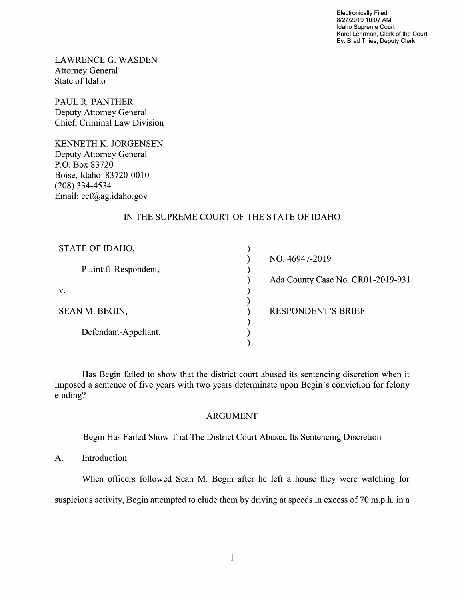Electronically Filed 8/27/2019 10:07 AM Idaho Supreme Court Karel Lehrman, Clerk of the Court By: Brad Thies, Deputy Clerk

LAWRENCE G.WASDEN Attorney General State 0f Idaho

PAUL R. PANTHER Deputy Attorney General Chief, Criminal Law Division

KENNETH K. JORGENSEN Deputy Attorney General P.O. BOX 83720 Boise, Idaho 83720-0010 (208) 334-4534 Email: ecf@ag.idaho.gov

# IN THE SUPREME COURT OF THE STATE OF IDAHO

| STATE OF IDAHO,       |  |
|-----------------------|--|
| Plaintiff-Respondent, |  |
| V.                    |  |
| SEAN M. BEGIN,        |  |
| Defendant-Appellant.  |  |
|                       |  |

NO. 46947-2019

Ada County Case No. CR01-2019-931

RESPONDENT'S BRIEF

Has Begin failed to show that the district court abused its sentencing discretion when it imposed a sentence of five years with two years determinate upon Begin's conviction for felony eluding?

## ARGUMENT

## Begin Has Failed Show That The District Court Abused Its Sentencing Discretion

A. Introduction

When officers followed Sean M. Begin after he left a house they were watching for

suspicious activity, Begin attempted to elude them by driving at speeds in excess of 70 m.p.h. in a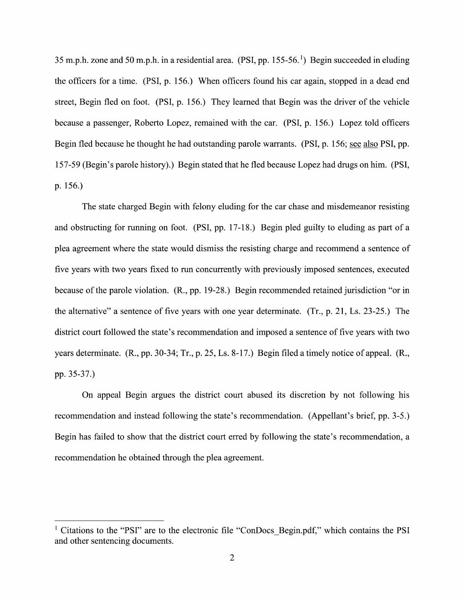35 m.p.h. zone and 50 m.p.h. in a residential area. (PSI, pp. 155-56.<sup>1</sup>) Begin succeeded in eluding the officers for a time. (PSI, p. 156.) When officers found his car again, stopped in a dead end street, Begin fled on foot. (PSI, p. 156.) They learned that Begin was the driver of the vehicle because a passenger, Roberto Lopez, remained with the car. (PSI, p. 156.) Lopez told officers Begin fled because he thought he had outstanding parole warrants. (PSI, p. 156; see also PSI, pp. 157-59 (Begin's parole history).) Begin stated that he fled because Lopez had drugs on him. (PSI, p. 156.)

The state charged Begin with felony eluding for the car chase and misdemeanor resisting and obstructing for running on foot. (PSI, pp. 17-18.) Begin pled guilty to eluding as part of a plea agreement where the state would dismiss the resisting charge and recommend a sentence of five years With two years fixed to run concurrently With previously imposed sentences, executed because of the parole Violation. (R., pp. 19-28.) Begin recommended retained jurisdiction "or in the alternative" a sentence of five years with one year determinate. (Tr., p. 21, Ls. 23-25.) The district court followed the state's recommendation and imposed a sentence of five years with two years determinate. (R., pp. 30-34; Tr., p. 25, Ls. 8-17.) Begin filed a timely notice of appeal. (R., pp. 35-37.)

On appeal Begin argues the district court abused its discretion by not following his recommendation and instead following the state's recommendation. (Appellant's brief, pp. 3-5.) Begin has failed to show that the district court erred by following the state's recommendation, a recommendation he obtained through the plea agreement.

<sup>&</sup>lt;sup>1</sup> Citations to the "PSI" are to the electronic file "ConDocs Begin.pdf," which contains the PSI and other sentencing documents.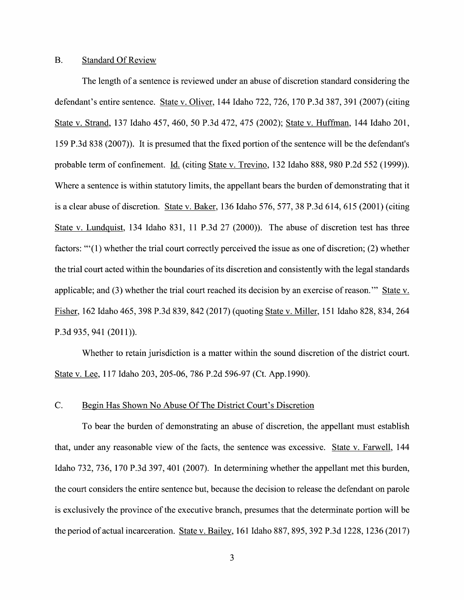#### B. Standard Of Review

The length of a sentence is reviewed under an abuse of discretion standard considering the defendant's entire sentence. State V. Oliver, 144 Idaho 722, 726, 170 P.3d 387, 391 (2007) (citing State V. Strand, <sup>137</sup> Idaho 457, 460, <sup>50</sup> P.3d 472, <sup>475</sup> (2002); State V. Huffman, <sup>144</sup> Idaho 201, 159 P.3d 838 (2007)). It is presumed that the fixed portion of the sentence Will be the defendant's probable term of confinement. Id. (citing State v. Trevino, 132 Idaho 888, 980 P.2d 552 (1999)). Where a sentence is within statutory limits, the appellant bears the burden of demonstrating that it is a clear abuse of discretion. State v. Baker,  $136$  Idaho  $576$ ,  $577$ ,  $38$  P.3d  $614$ ,  $615$  ( $2001$ ) (citing State V. Lundquist, 134 Idaho 831, 11 P.3d 27 (2000)). The abuse of discretion test has three factors: " $(1)$  whether the trial court correctly perceived the issue as one of discretion; (2) whether the trial court acted Within the boundaries of its discretion and consistently With the legal standards applicable; and (3) whether the trial court reached its decision by an exercise of reason." State v. Fisher, 162 Idaho 465, 398 P.3d 839, 842 (2017) (quoting State v. Miller, 151 Idaho 828, 834, 264 P.3d 935, 941 (2011)).

Whether to retain jurisdiction is a matter within the sound discretion of the district court. State V. Lee, 117 Idaho 203, 205-06, 786 P.2d 596-97 (Ct. App.1990).

#### C. Begin Has Shown N0 Abuse Of The District Court's Discretion

To bear the burden of demonstrating an abuse of discretion, the appellant must establish that, under any reasonable view of the facts, the sentence was excessive. State v. Farwell, 144 Idaho 732, 736, 170 P.3d 397, 401 (2007). In determining whether the appellant met this burden, the court considers the entire sentence but, because the decision t0 release the defendant on parole is exclusively the province of the executive branch, presumes that the determinate portion will be the period of actual incarceration. State v. Bailey, 161 Idaho 887, 895, 392 P.3d 1228, 1236 (2017)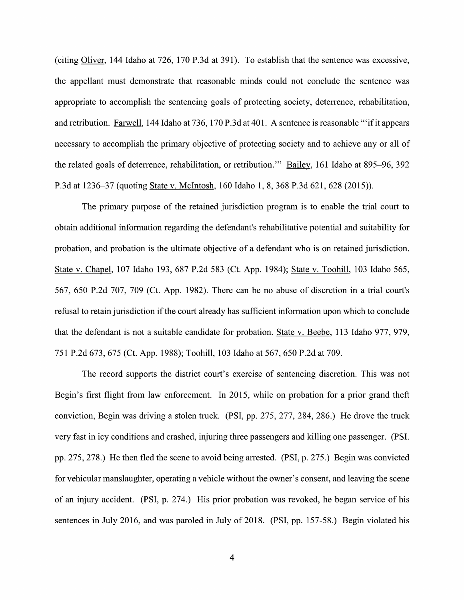(citing Oliver, 144 Idaho at 726, 170 P.3d at 391). To establish that the sentence was excessive, the appellant must demonstrate that reasonable minds could not conclude the sentence was appropriate t0 accomplish the sentencing goals 0f protecting society, deterrence, rehabilitation, and retribution. <u>Farwell,</u> 144 Idaho at 736, 170 P.3d at 401. A sentence is reasonable '''if it appears necessary to accomplish the primary objective of protecting society and to achieve any or all of the related goals of deterrence, rehabilitation, or retribution." Ba\_iley, 161 Idaho at 895—96, 392 P.3d at 1236—37 (quoting State V. McIntosh, 160 Idaho 1, 8, 368 P.3d 621, 628 (2015)).

The primary purpose of the retained jurisdiction program is to enable the trial court to obtain additional information regarding the defendant's rehabilitative potential and suitability for probation, and probation is the ultimate objective 0f defendant who is on retained jurisdiction. State v. Chapel, 107 Idaho 193, 687 P.2d 583 (Ct. App. 1984); State v. Toohill, 103 Idaho 565, 567, 650 P.2d 707, 709 (Ct. App. 1982). There can be no abuse of discretion in a trial court's refusal to retain jurisdiction if the court already has sufficient information upon which to conclude that the defendant is not a suitable candidate for probation. State v. Beebe, 113 Idaho 977, 979, 751 P.2d 673, 675 (Ct. App. 1988); Toohill, 103 Idaho at 567, 650 P.2d at 709.

The record supports the district court's exercise 0f sentencing discretion. This was not Begin's first flight from law enforcement. In 2015, while on probation for a prior grand theft conviction, Begin was driving a stolen truck. (PSI, pp.  $275$ ,  $277$ ,  $284$ ,  $286$ .) He drove the truck very fast in icy conditions and crashed, injuring three passengers and killing one passenger. (PSI. pp. 275, 278.) He then fled the scene t0 avoid being arrested. (PSI, p. 275.) Begin was convicted for vehicular manslaughter, operating a vehicle without the owner's consent, and leaving the scene of an injury accident. (PSI, p. 274.) His prior probation was revoked, he began service of his sentences in July 2016, and was paroled in July of 2018. (PSI, pp. 157-58.) Begin violated his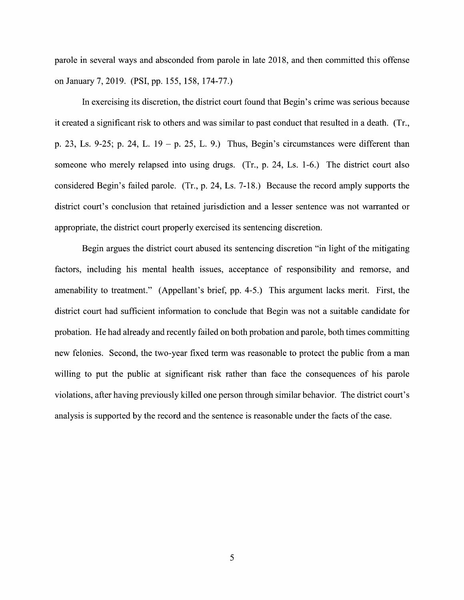parole in several ways and absconded from parole in late 2018, and then committed this offense 0n January 7, 2019. (PSI, pp. 155, 158, 174-77.)

In exercising its discretion, the district court found that Begin's crime was serious because it created a significant risk to others and was similar to past conduct that resulted in a death. (Tr., p. 23, Ls. 9-25; p. 24, L. 19 – p. 25, L. 9.) Thus, Begin's circumstances were different than someone who merely relapsed into using drugs. (Tr., p. 24, Ls. 1-6.) The district court also considered Begin's failed parole. (Tr., p. 24, Ls. 7-18.) Because the record amply supports the district court's conclusion that retained jurisdiction and a lesser sentence was not warranted or appropriate, the district court properly exercised its sentencing discretion.

Begin argues the district court abused its sentencing discretion "in light of the mitigating factors, including his mental health issues, acceptance of responsibility and remorse, and amenability to treatment." (Appellant's brief, pp. 4-5.) This argument lacks merit. First, the district court had sufficient information to conclude that Begin was not a suitable candidate for probation. He had already and recently failed on both probation and parole, both times committing new felonies. Second, the two-year fixed term was reasonable to protect the public from a man willing to put the public at significant risk rather than face the consequences of his parole Violations, after having previously killed one person through similar behavior. The district court's analysis is supported by the record and the sentence is reasonable under the facts 0f the case.